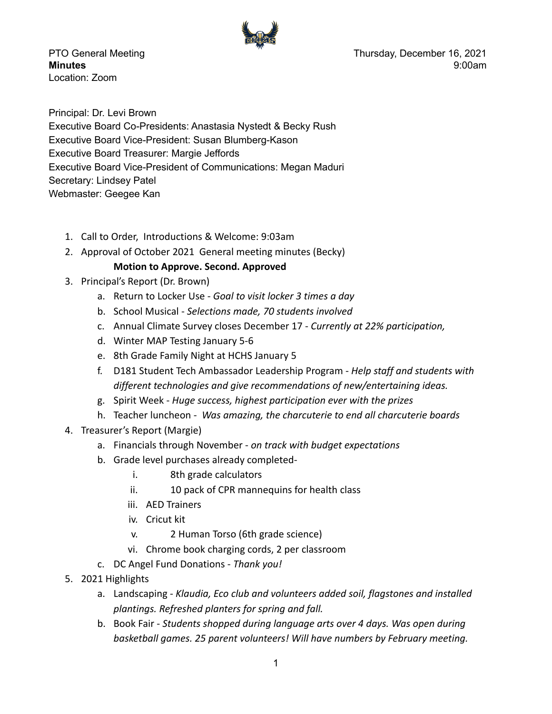

Location: Zoom

PTO General Meeting Thursday, December 16, 2021 **Minutes** 9:00am

Principal: Dr. Levi Brown Executive Board Co-Presidents: Anastasia Nystedt & Becky Rush Executive Board Vice-President: Susan Blumberg-Kason Executive Board Treasurer: Margie Jeffords Executive Board Vice-President of Communications: Megan Maduri Secretary: Lindsey Patel Webmaster: Geegee Kan

- 1. Call to Order, Introductions & Welcome: 9:03am
- 2. Approval of October 2021 General meeting minutes (Becky)

## **Motion to Approve. Second. Approved**

- 3. Principal's Report (Dr. Brown)
	- a. Return to Locker Use *Goal to visit locker 3 times a day*
	- b. School Musical *Selections made, 70 students involved*
	- c. Annual Climate Survey closes December 17 *Currently at 22% participation,*
	- d. Winter MAP Testing January 5-6
	- e. 8th Grade Family Night at HCHS January 5
	- f. D181 Student Tech Ambassador Leadership Program *Help staff and students with different technologies and give recommendations of new/entertaining ideas.*
	- g. Spirit Week *Huge success, highest participation ever with the prizes*
	- h. Teacher luncheon *Was amazing, the charcuterie to end all charcuterie boards*
- 4. Treasurer's Report (Margie)
	- a. Financials through November *on track with budget expectations*
	- b. Grade level purchases already completed
		- i. 8th grade calculators
		- ii. 10 pack of CPR mannequins for health class
		- iii. AED Trainers
		- iv. Cricut kit
		- v. 2 Human Torso (6th grade science)
		- vi. Chrome book charging cords, 2 per classroom
	- c. DC Angel Fund Donations *Thank you!*
- 5. 2021 Highlights
	- a. Landscaping *Klaudia, Eco club and volunteers added soil, flagstones and installed plantings. Refreshed planters for spring and fall.*
	- b. Book Fair *Students shopped during language arts over 4 days. Was open during basketball games. 25 parent volunteers! Will have numbers by February meeting.*